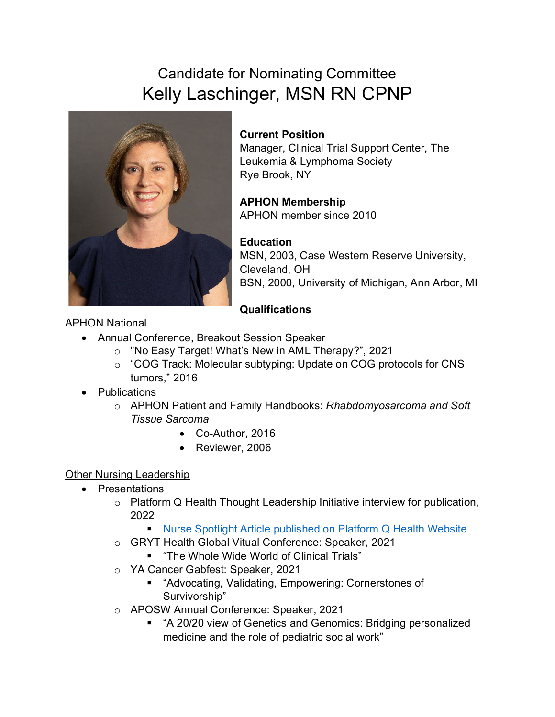# Candidate for Nominating Committee Kelly Laschinger, MSN RN CPNP



### **Current Position**

Manager, Clinical Trial Support Center, The Leukemia & Lymphoma Society Rye Brook, NY

# **APHON Membership**

APHON member since 2010

# **Education**

MSN, 2003, Case Western Reserve University, Cleveland, OH BSN, 2000, University of Michigan, Ann Arbor, MI

# **Qualifications**

#### APHON National

- Annual Conference, Breakout Session Speaker
	- o "No Easy Target! What's New in AML Therapy?", 2021
	- o "COG Track: Molecular subtyping: Update on COG protocols for CNS tumors," 2016
- **Publications** 
	- o APHON Patient and Family Handbooks: *Rhabdomyosarcoma and Soft Tissue Sarcoma*
		- Co-Author, 2016
		- Reviewer, 2006

# Other Nursing Leadership

- Presentations
	- o Platform Q Health Thought Leadership Initiative interview for publication, 2022
		- **[Nurse Spotlight Article published on Platform Q Health Website](https://www.platformqhealth.com/2022/05/17/nurse-spotlight-improving-clinical-trial-access-with-lls-pediatric-nurse-navigator-kelly-laschinger/)**
	- o GRYT Health Global Vitual Conference: Speaker, 2021
		- "The Whole Wide World of Clinical Trials"
	- o YA Cancer Gabfest: Speaker, 2021
		- **EXECT** "Advocating, Validating, Empowering: Cornerstones of Survivorship"
	- o APOSW Annual Conference: Speaker, 2021
		- "A 20/20 view of Genetics and Genomics: Bridging personalized medicine and the role of pediatric social work"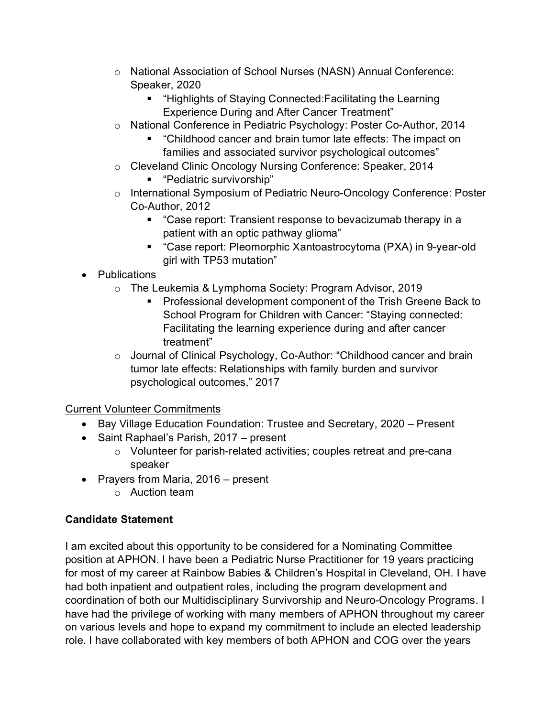- o National Association of School Nurses (NASN) Annual Conference: Speaker, 2020
	- "Highlights of Staying Connected:Facilitating the Learning Experience During and After Cancer Treatment"
- o National Conference in Pediatric Psychology: Poster Co-Author, 2014
	- "Childhood cancer and brain tumor late effects: The impact on families and associated survivor psychological outcomes"
- o Cleveland Clinic Oncology Nursing Conference: Speaker, 2014 "Pediatric survivorship"
- o International Symposium of Pediatric Neuro-Oncology Conference: Poster Co-Author, 2012
	- "Case report: Transient response to bevacizumab therapy in a patient with an optic pathway glioma"
	- "Case report: Pleomorphic Xantoastrocytoma (PXA) in 9-year-old girl with TP53 mutation"
- Publications
	- o The Leukemia & Lymphoma Society: Program Advisor, 2019
		- **Professional development component of the Trish Greene Back to** School Program for Children with Cancer: "Staying connected: Facilitating the learning experience during and after cancer treatment"
	- o Journal of Clinical Psychology, Co-Author: "Childhood cancer and brain tumor late effects: Relationships with family burden and survivor psychological outcomes," 2017

#### Current Volunteer Commitments

- Bay Village Education Foundation: Trustee and Secretary, 2020 Present
- Saint Raphael's Parish, 2017 present
	- o Volunteer for parish-related activities; couples retreat and pre-cana speaker
- Prayers from Maria, 2016 present
	- o Auction team

#### **Candidate Statement**

I am excited about this opportunity to be considered for a Nominating Committee position at APHON. I have been a Pediatric Nurse Practitioner for 19 years practicing for most of my career at Rainbow Babies & Children's Hospital in Cleveland, OH. I have had both inpatient and outpatient roles, including the program development and coordination of both our Multidisciplinary Survivorship and Neuro-Oncology Programs. I have had the privilege of working with many members of APHON throughout my career on various levels and hope to expand my commitment to include an elected leadership role. I have collaborated with key members of both APHON and COG over the years